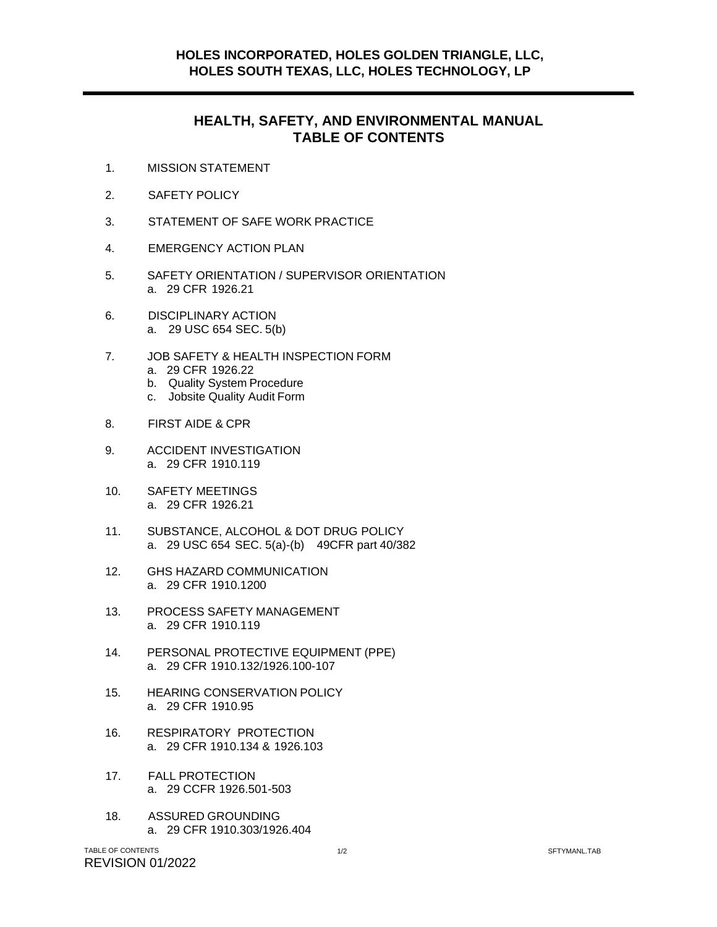## **HEALTH, SAFETY, AND ENVIRONMENTAL MANUAL TABLE OF CONTENTS**

- 1. MISSION STATEMENT
- 2. SAFETY POLICY
- 3. STATEMENT OF SAFE WORK PRACTICE
- 4. EMERGENCY ACTION PLAN
- 5. SAFETY ORIENTATION / SUPERVISOR ORIENTATION a. 29 CFR 1926.21
- 6. DISCIPLINARY ACTION a. 29 USC 654 SEC. 5(b)
- 7. JOB SAFETY & HEALTH INSPECTION FORM a. 29 CFR 1926.22
	- b. Quality System Procedure
	- c. Jobsite Quality Audit Form
- 8. FIRST AIDE & CPR
- 9. ACCIDENT INVESTIGATION a. 29 CFR 1910.119
- 10. SAFETY MEETINGS a. 29 CFR 1926.21
- 11. SUBSTANCE, ALCOHOL & DOT DRUG POLICY a. 29 USC 654 SEC. 5(a)-(b) 49CFR part 40/382
- 12. GHS HAZARD COMMUNICATION a. 29 CFR 1910.1200
- 13. PROCESS SAFETY MANAGEMENT a. 29 CFR 1910.119
- 14. PERSONAL PROTECTIVE EQUIPMENT (PPE) a. 29 CFR 1910.132/1926.100-107
- 15. HEARING CONSERVATION POLICY a. 29 CFR 1910.95
- 16. RESPIRATORY PROTECTION a. 29 CFR 1910.134 & 1926.103
- 17. FALL PROTECTION a. 29 CCFR 1926.501-503
- 18. ASSURED GROUNDING a. 29 CFR 1910.303/1926.404